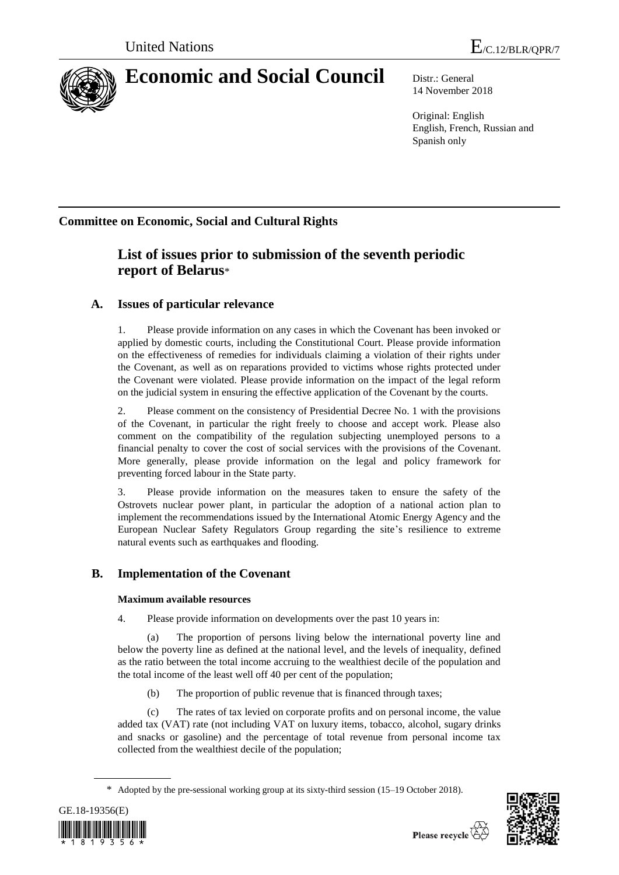

# **Economic and Social Council** Distr.: General

14 November 2018

Original: English English, French, Russian and Spanish only

# **Committee on Economic, Social and Cultural Rights**

# **List of issues prior to submission of the seventh periodic report of Belarus**\*

# **A. Issues of particular relevance**

1. Please provide information on any cases in which the Covenant has been invoked or applied by domestic courts, including the Constitutional Court. Please provide information on the effectiveness of remedies for individuals claiming a violation of their rights under the Covenant, as well as on reparations provided to victims whose rights protected under the Covenant were violated. Please provide information on the impact of the legal reform on the judicial system in ensuring the effective application of the Covenant by the courts.

2. Please comment on the consistency of Presidential Decree No. 1 with the provisions of the Covenant, in particular the right freely to choose and accept work. Please also comment on the compatibility of the regulation subjecting unemployed persons to a financial penalty to cover the cost of social services with the provisions of the Covenant. More generally, please provide information on the legal and policy framework for preventing forced labour in the State party.

3. Please provide information on the measures taken to ensure the safety of the Ostrovets nuclear power plant, in particular the adoption of a national action plan to implement the recommendations issued by the International Atomic Energy Agency and the European Nuclear Safety Regulators Group regarding the site's resilience to extreme natural events such as earthquakes and flooding.

## **B. Implementation of the Covenant**

### **Maximum available resources**

4. Please provide information on developments over the past 10 years in:

(a) The proportion of persons living below the international poverty line and below the poverty line as defined at the national level, and the levels of inequality, defined as the ratio between the total income accruing to the wealthiest decile of the population and the total income of the least well off 40 per cent of the population;

(b) The proportion of public revenue that is financed through taxes;

(c) The rates of tax levied on corporate profits and on personal income, the value added tax (VAT) rate (not including VAT on luxury items, tobacco, alcohol, sugary drinks and snacks or gasoline) and the percentage of total revenue from personal income tax collected from the wealthiest decile of the population;

<sup>\*</sup> Adopted by the pre-sessional working group at its [sixty-third](http://context.reverso.net/traduction/anglais-francais/sixtieth) session (15–19 October 2018).



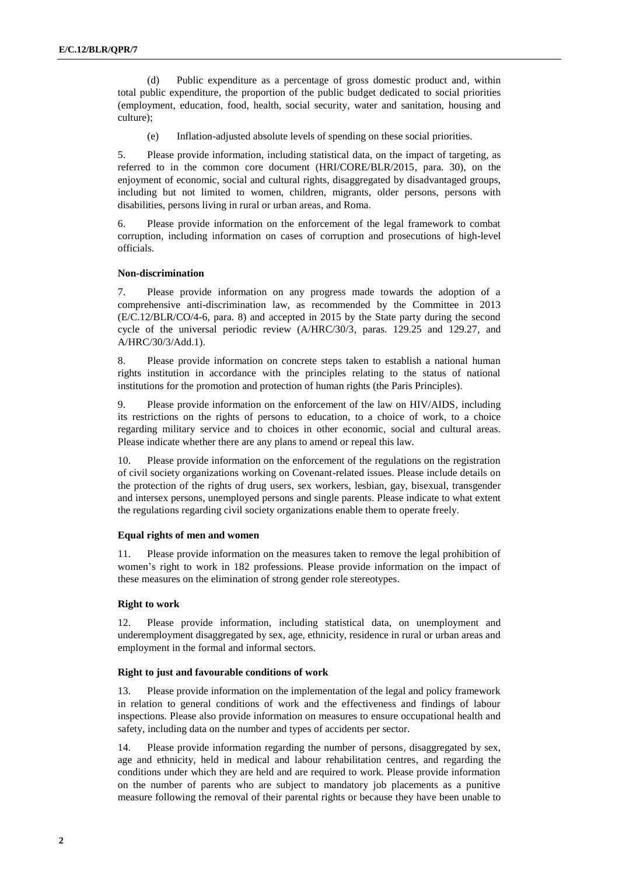(d) Public expenditure as a percentage of gross domestic product and, within total public expenditure, the proportion of the public budget dedicated to social priorities (employment, education, food, health, social security, water and sanitation, housing and culture);

(e) Inflation-adjusted absolute levels of spending on these social priorities.

5. Please provide information, including statistical data, on the impact of targeting, as referred to in the common core document (HRI/CORE/BLR/2015, para. 30), on the enjoyment of economic, social and cultural rights, disaggregated by disadvantaged groups, including but not limited to women, children, migrants, older persons, persons with disabilities, persons living in rural or urban areas, and Roma.

6. Please provide information on the enforcement of the legal framework to combat corruption, including information on cases of corruption and prosecutions of high-level officials.

#### **Non-discrimination**

7. Please provide information on any progress made towards the adoption of a comprehensive anti-discrimination law, as recommended by the Committee in 2013 (E/C.12/BLR/CO/4-6, para. 8) and accepted in 2015 by the State party during the second cycle of the universal periodic review (A/HRC/30/3, paras. 129.25 and 129.27, and A/HRC/30/3/Add.1).

8. Please provide information on concrete steps taken to establish a national human rights institution in accordance with the principles relating to the status of national institutions for the promotion and protection of human rights (the Paris Principles).

9. Please provide information on the enforcement of the law on HIV/AIDS, including its restrictions on the rights of persons to education, to a choice of work, to a choice regarding military service and to choices in other economic, social and cultural areas. Please indicate whether there are any plans to amend or repeal this law.

10. Please provide information on the enforcement of the regulations on the registration of civil society organizations working on Covenant-related issues. Please include details on the protection of the rights of drug users, sex workers, lesbian, gay, bisexual, transgender and intersex persons, unemployed persons and single parents. Please indicate to what extent the regulations regarding civil society organizations enable them to operate freely.

#### **Equal rights of men and women**

11. Please provide information on the measures taken to remove the legal prohibition of women's right to work in 182 professions. Please provide information on the impact of these measures on the elimination of strong gender role stereotypes.

#### **Right to work**

12. Please provide information, including statistical data, on unemployment and underemployment disaggregated by sex, age, ethnicity, residence in rural or urban areas and employment in the formal and informal sectors.

#### **Right to just and favourable conditions of work**

13. Please provide information on the implementation of the legal and policy framework in relation to general conditions of work and the effectiveness and findings of labour inspections. Please also provide information on measures to ensure occupational health and safety, including data on the number and types of accidents per sector.

14. Please provide information regarding the number of persons, disaggregated by sex, age and ethnicity, held in medical and labour rehabilitation centres, and regarding the conditions under which they are held and are required to work. Please provide information on the number of parents who are subject to mandatory job placements as a punitive measure following the removal of their parental rights or because they have been unable to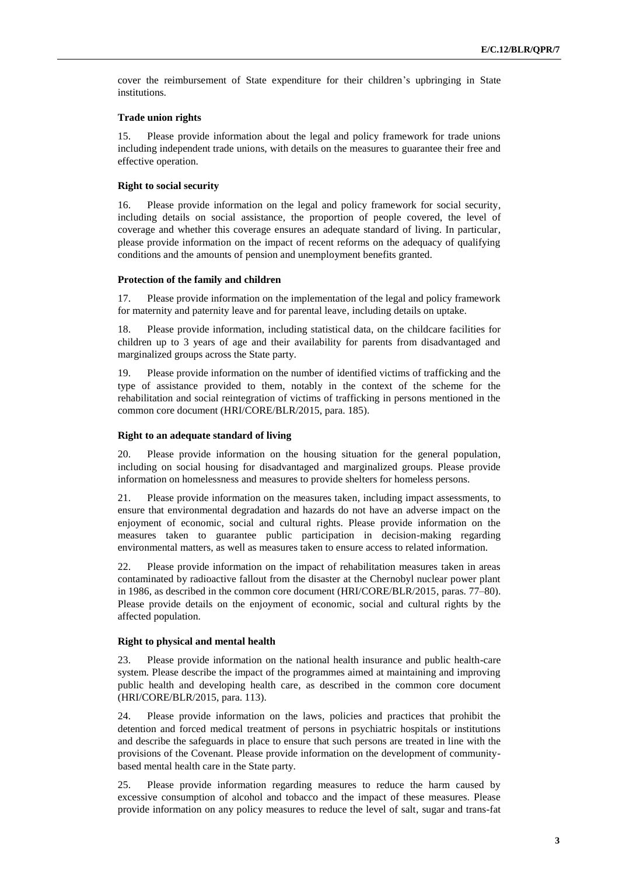cover the reimbursement of State expenditure for their children's upbringing in State institutions.

#### **Trade union rights**

15. Please provide information about the legal and policy framework for trade unions including independent trade unions, with details on the measures to guarantee their free and effective operation.

#### **Right to social security**

16. Please provide information on the legal and policy framework for social security, including details on social assistance, the proportion of people covered, the level of coverage and whether this coverage ensures an adequate standard of living. In particular, please provide information on the impact of recent reforms on the adequacy of qualifying conditions and the amounts of pension and unemployment benefits granted.

#### **Protection of the family and children**

17. Please provide information on the implementation of the legal and policy framework for maternity and paternity leave and for parental leave, including details on uptake.

18. Please provide information, including statistical data, on the childcare facilities for children up to 3 years of age and their availability for parents from disadvantaged and marginalized groups across the State party.

19. Please provide information on the number of identified victims of trafficking and the type of assistance provided to them, notably in the context of the scheme for the rehabilitation and social reintegration of victims of trafficking in persons mentioned in the common core document (HRI/CORE/BLR/2015, para. 185).

#### **Right to an adequate standard of living**

20. Please provide information on the housing situation for the general population, including on social housing for disadvantaged and marginalized groups. Please provide information on homelessness and measures to provide shelters for homeless persons.

21. Please provide information on the measures taken, including impact assessments, to ensure that environmental degradation and hazards do not have an adverse impact on the enjoyment of economic, social and cultural rights. Please provide information on the measures taken to guarantee public participation in decision-making regarding environmental matters, as well as measures taken to ensure access to related information.

22. Please provide information on the impact of rehabilitation measures taken in areas contaminated by radioactive fallout from the disaster at the Chernobyl nuclear power plant in 1986, as described in the common core document (HRI/CORE/BLR/2015, paras. 77–80). Please provide details on the enjoyment of economic, social and cultural rights by the affected population.

#### **Right to physical and mental health**

23. Please provide information on the national health insurance and public health-care system. Please describe the impact of the programmes aimed at maintaining and improving public health and developing health care, as described in the common core document (HRI/CORE/BLR/2015, para. 113).

24. Please provide information on the laws, policies and practices that prohibit the detention and forced medical treatment of persons in psychiatric hospitals or institutions and describe the safeguards in place to ensure that such persons are treated in line with the provisions of the Covenant. Please provide information on the development of communitybased mental health care in the State party.

25. Please provide information regarding measures to reduce the harm caused by excessive consumption of alcohol and tobacco and the impact of these measures. Please provide information on any policy measures to reduce the level of salt, sugar and trans-fat